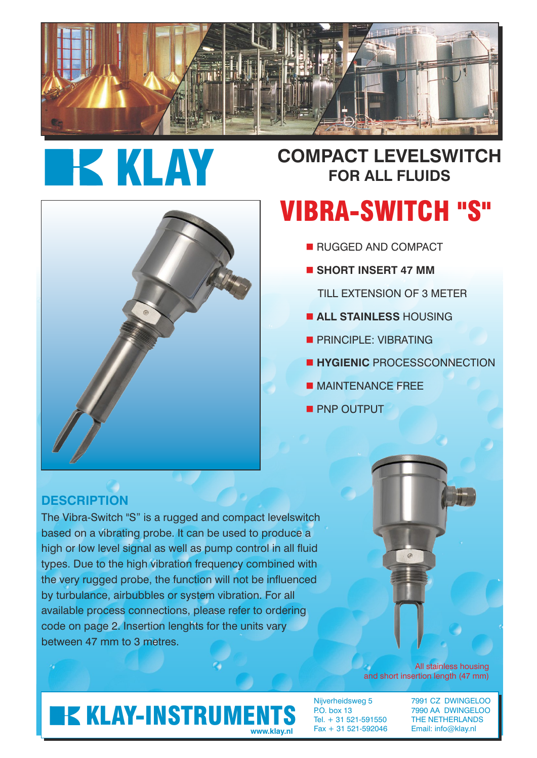

# **KLAY**

## **COMPACT LEVELSWITCH FOR ALL FLUIDS**

## VIBRA-SWITCH "S"

- **RUGGED AND COMPACT** 
	- $\blacksquare$  **SHORT INSERT 47 MM** 
		- TILL EXTENSION OF 3 METER
	- **E ALL STAINLESS HOUSING**
	- **PRINCIPLE: VIBRATING**
	- **E HYGIENIC PROCESSCONNECTION**
	- **NAINTENANCE FREE**
- **PNP OUTPUT**

#### **DESCRIPTION**

The Vibra-Switch "S" is a rugged and compact levelswitch based on a vibrating probe. It can be used to produce a high or low level signal as well as pump control in all fluid types. Due to the high vibration frequency combined with the very rugged probe, the function will not be influenced by turbulance, airbubbles or system vibration. For all available process connections, please refer to ordering code on page 2. Insertion lenghts for the units vary between 47 mm to 3 metres.

> All stainless housing and short insertion length (47 mm)

## **KLAY-INSTRUMENTS**

Tel. + 31 521-591550 THE NETHERLANDS Fax + 31 521-592046 Email: info@klay.nl **www.klay.nl**

Nijverheidsweg 5 7991 CZ DWINGELOO<br>P.O. box 13 7990 AA DWINGELOO 7990 AA DWINGELOO